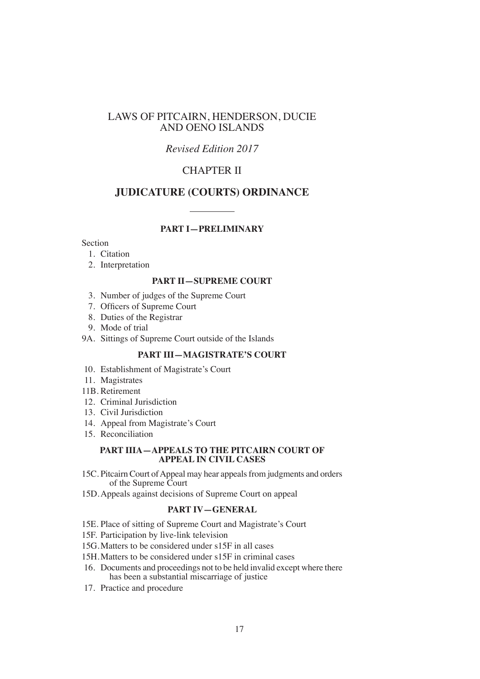# LAWS OF PITCAIRN, HENDERSON, DUCIE AND OENO ISLANDS

# *Revised Edition 2017*

# CHAPTER II

# **JUDICATURE (COURTS) ORDINANCE**

#### **PART I—PRELIMINARY**

## Section

- 1. Citation
- 2. Interpretation

#### **PART II—SUPREME COURT**

- 3. Number of judges of the Supreme Court
- 7. Officers of Supreme Court
- 8. Duties of the Registrar
- 9. Mode of trial
- 9A. Sittings of Supreme Court outside of the Islands

#### **PART III—MAGISTRATE'S COURT**

- 10. Establishment of Magistrate's Court
- 11. Magistrates
- 11B. Retirement
- 12. Criminal Jurisdiction
- 13. Civil Jurisdiction
- 14. Appeal from Magistrate's Court
- 15. Reconciliation

#### **PART IIIA—APPEALS TO THE PITCAIRN COURT OF APPEAL IN CIVIL CASES**

- 15C. Pitcairn Court of Appeal may hear appeals from judgments and orders of the Supreme Court
- 15D.Appeals against decisions of Supreme Court on appeal

## **PART IV—GENERAL**

- 15E. Place of sitting of Supreme Court and Magistrate's Court
- 15F. Participation by live-link television
- 15G.Matters to be considered under s15F in all cases
- 15H.Matters to be considered under s15F in criminal cases
- 16. Documents and proceedings not to be held invalid except where there has been a substantial miscarriage of justice
- 17. Practice and procedure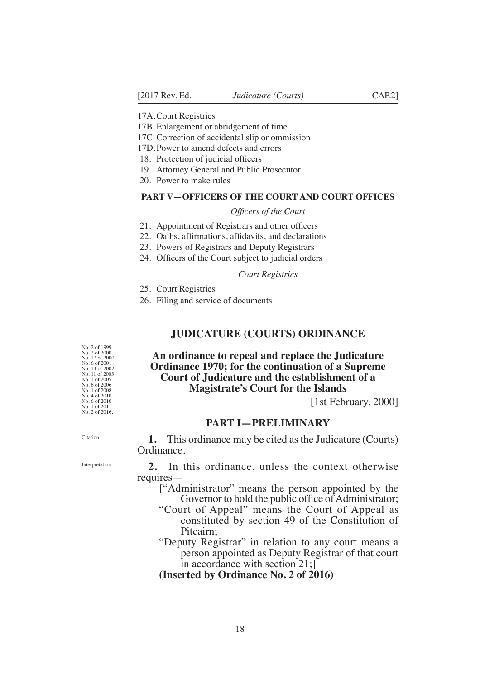17A.Court Registries

17B. Enlargement or abridgement of time

17C. Correction of accidental slip or ommission

17D.Power to amend defects and errors

18. Protection of judicial officers

19. Attorney General and Public Prosecutor

20. Power to make rules

#### **PART V—OFFICERS OF THE COURT AND COURT OFFICES**

#### *Offcers of the Court*

- 21. Appointment of Registrars and other officers
- 22. Oaths, affrmations, affdavits, and declarations
- 23. Powers of Registrars and Deputy Registrars
- 24. Officers of the Court subject to judicial orders

#### *Court Registries*

- 25. Court Registries
- 26. Filing and service of documents

#### **JUDICATURE (COURTS) ORDINANCE**

# **An ordinance to repeal and replace the Judicature Ordinance 1970; for the continuation of a Supreme Court of Judicature and the establishment of a Magistrate's Court for the Islands**

[1st February, 2000]

#### **PART I—PRELIMINARY**

**1.** This ordinance may be cited as the Judicature (Courts) Ordinance.

**2.** In this ordinance, unless the context otherwise requires—

- ["Administrator" means the person appointed by the Governor to hold the public office of Administrator;
- "Court of Appeal" means the Court of Appeal as constituted by section 49 of the Constitution of Pitcairn;
- "Deputy Registrar" in relation to any court means a person appointed as Deputy Registrar of that court in accordance with section 21;]

**(Inserted by Ordinance No. 2 of 2016)**

No. 2 of 1999 No. 2 of 2000 No. 12 of 2000 No. 6 of 2001 No. 14 of 2002 No. 11 of 2003 No. 1 of 2005 No. 6 of 2006 No. 1 of 2008 No. 4 of 2010 No. 6 of 2010 No. 1 of 2011 No. 2 of 2016.

Citation.

Interpretation.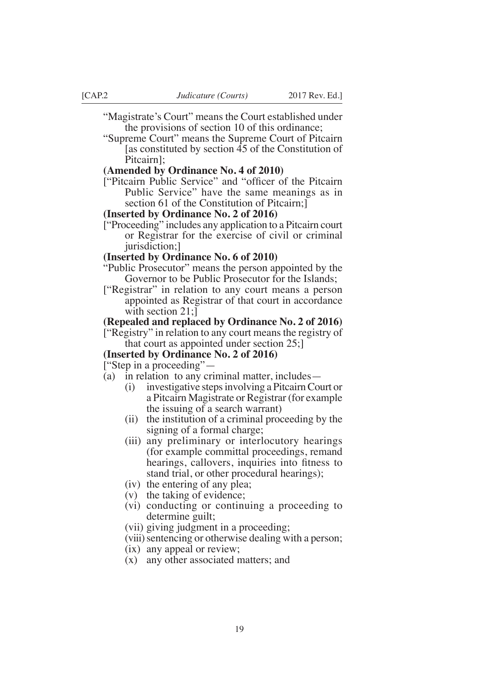- "Magistrate's Court" means the Court established under the provisions of section 10 of this ordinance;
- "Supreme Court" means the Supreme Court of Pitcairn [as constituted by section 45 of the Constitution of Pitcairn];

#### **(Amended by Ordinance No. 4 of 2010)**

["Pitcairn Public Service" and "offcer of the Pitcairn Public Service" have the same meanings as in section 61 of the Constitution of Pitcairn;]

#### **(Inserted by Ordinance No. 2 of 2016)**

["Proceeding" includes any application to a Pitcairn court or Registrar for the exercise of civil or criminal jurisdiction;]

#### **(Inserted by Ordinance No. 6 of 2010)**

- "Public Prosecutor" means the person appointed by the Governor to be Public Prosecutor for the Islands;
- ["Registrar" in relation to any court means a person appointed as Registrar of that court in accordance with section 21;

## **(Repealed and replaced by Ordinance No. 2 of 2016)**

["Registry" in relation to any court means the registry of that court as appointed under section 25;]

#### **(Inserted by Ordinance No. 2 of 2016)**

["Step in a proceeding"—

- (a) in relation to any criminal matter, includes—
	- (i) investigative steps involving a Pitcairn Court or a Pitcairn Magistrate or Registrar (for example the issuing of a search warrant)
	- (ii) the institution of a criminal proceeding by the signing of a formal charge;
	- (iii) any preliminary or interlocutory hearings (for example committal proceedings, remand hearings, callovers, inquiries into ftness to stand trial, or other procedural hearings);
	- (iv) the entering of any plea;
	- (v) the taking of evidence;
	- (vi) conducting or continuing a proceeding to determine guilt;
	- (vii) giving judgment in a proceeding;
	- (viii) sentencing or otherwise dealing with a person;
	- (ix) any appeal or review;
	- (x) any other associated matters; and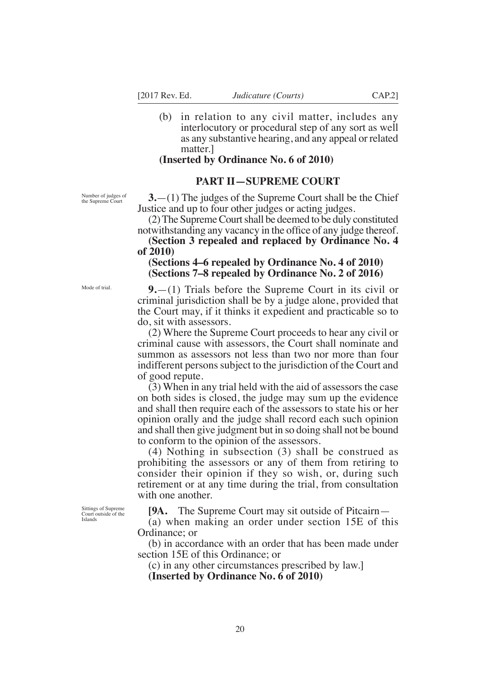(b) in relation to any civil matter, includes any interlocutory or procedural step of any sort as well as any substantive hearing, and any appeal or related matter.]

#### **(Inserted by Ordinance No. 6 of 2010)**

## **PART II—SUPREME COURT**

Number of judges of the Supreme Court

Mode of trial.

**3.**—(1) The judges of the Supreme Court shall be the Chief Justice and up to four other judges or acting judges.

(2) The Supreme Court shall be deemed to be duly constituted notwithstanding any vacancy in the office of any judge thereof.

**(Section 3 repealed and replaced by Ordinance No. 4 of 2010)**

# **(Sections 4–6 repealed by Ordinance No. 4 of 2010) (Sections 7–8 repealed by Ordinance No. 2 of 2016)**

**9.**—(1) Trials before the Supreme Court in its civil or criminal jurisdiction shall be by a judge alone, provided that the Court may, if it thinks it expedient and practicable so to do, sit with assessors.

(2) Where the Supreme Court proceeds to hear any civil or criminal cause with assessors, the Court shall nominate and summon as assessors not less than two nor more than four indifferent persons subject to the jurisdiction of the Court and of good repute.

(3) When in any trial held with the aid of assessors the case on both sides is closed, the judge may sum up the evidence and shall then require each of the assessors to state his or her opinion orally and the judge shall record each such opinion and shall then give judgment but in so doing shall not be bound to conform to the opinion of the assessors.

(4) Nothing in subsection (3) shall be construed as prohibiting the assessors or any of them from retiring to consider their opinion if they so wish, or, during such retirement or at any time during the trial, from consultation with one another.

Sittings of Supreme Court outside of the Islands

**[9A.** The Supreme Court may sit outside of Pitcairn—

(a) when making an order under section 15E of this Ordinance; or

(b) in accordance with an order that has been made under section 15E of this Ordinance; or

(c) in any other circumstances prescribed by law.]

**(Inserted by Ordinance No. 6 of 2010)**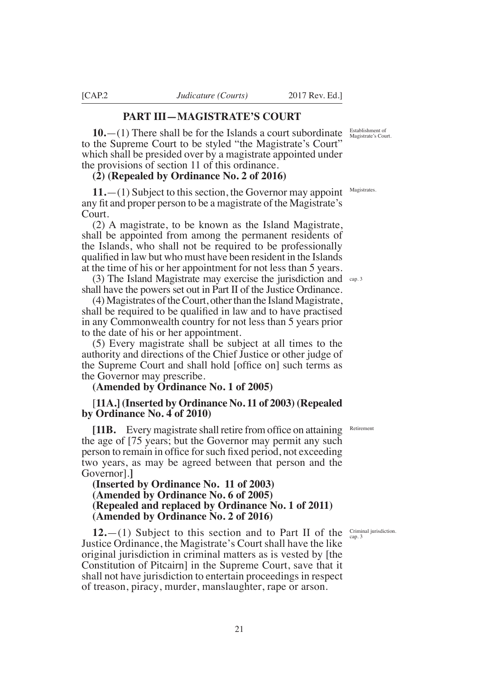# **PART III—MAGISTRATE'S COURT**

**10.**—(1) There shall be for the Islands a court subordinate to the Supreme Court to be styled "the Magistrate's Court" which shall be presided over by a magistrate appointed under the provisions of section 11 of this ordinance.

#### **(2) (Repealed by Ordinance No. 2 of 2016)**

**11.**—(1) Subject to this section, the Governor may appoint any ft and proper person to be a magistrate of the Magistrate's Court.

(2) A magistrate, to be known as the Island Magistrate, shall be appointed from among the permanent residents of the Islands, who shall not be required to be professionally qualifed in law but who must have been resident in the Islands at the time of his or her appointment for not less than 5 years.

(3) The Island Magistrate may exercise the jurisdiction and cap. 3 shall have the powers set out in Part II of the Justice Ordinance.

(4) Magistrates of the Court, other than the Island Magistrate, shall be required to be qualifed in law and to have practised in any Commonwealth country for not less than 5 years prior to the date of his or her appointment.

(5) Every magistrate shall be subject at all times to the authority and directions of the Chief Justice or other judge of the Supreme Court and shall hold [office on] such terms as the Governor may prescribe.

### **(Amended by Ordinance No. 1 of 2005)**

# [**11A.] (Inserted by Ordinance No. 11 of 2003) (Repealed by Ordinance No. 4 of 2010)**

**[11B.** Every magistrate shall retire from office on attaining the age of [75 years; but the Governor may permit any such person to remain in offce forsuch fxed period, not exceeding two years, as may be agreed between that person and the Governor].**]**

# **(Inserted by Ordinance No. 11 of 2003) (Amended by Ordinance No. 6 of 2005) (Repealed and replaced by Ordinance No. 1 of 2011) (Amended by Ordinance No. 2 of 2016)**

**12.**—(1) Subject to this section and to Part II of the Justice Ordinance, the Magistrate's Court shall have the like original jurisdiction in criminal matters as is vested by [the Constitution of Pitcairn] in the Supreme Court, save that it shall not have jurisdiction to entertain proceedings in respect of treason, piracy, murder, manslaughter, rape or arson.

Establishment of Magistrate's Court.

**Magistrates** 

Retirement

Criminal jurisdiction. cap. 3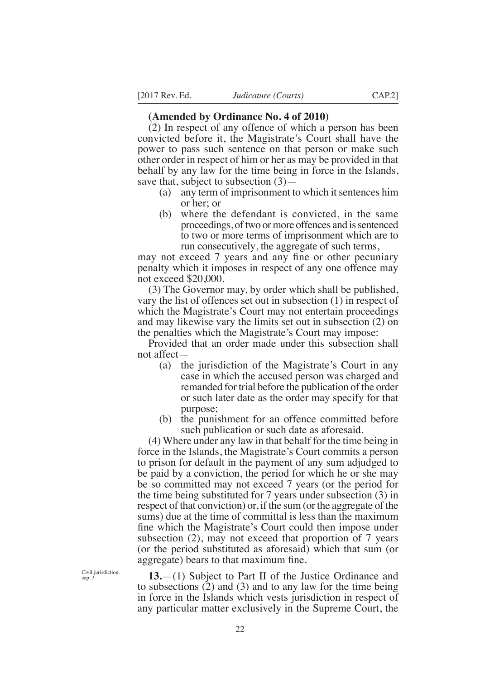## **(Amended by Ordinance No. 4 of 2010)**

(2) In respect of any offence of which a person has been convicted before it, the Magistrate's Court shall have the power to pass such sentence on that person or make such other order in respect of him or her as may be provided in that behalf by any law for the time being in force in the Islands, save that, subject to subsection (3)—

- (a) any term of imprisonment to which it sentences him or her; or
- (b) where the defendant is convicted, in the same proceedings, of two or more offences and is sentenced to two or more terms of imprisonment which are to run consecutively, the aggregate of such terms,

may not exceed 7 years and any fne or other pecuniary penalty which it imposes in respect of any one offence may not exceed \$20,000.

(3) The Governor may, by order which shall be published, vary the list of offences set out in subsection (1) in respect of which the Magistrate's Court may not entertain proceedings and may likewise vary the limits set out in subsection (2) on the penalties which the Magistrate's Court may impose:

Provided that an order made under this subsection shall not affect—

- (a) the jurisdiction of the Magistrate's Court in any case in which the accused person was charged and remanded for trial before the publication of the order or such later date as the order may specify for that purpose;
- (b) the punishment for an offence committed before such publication or such date as aforesaid.

(4) Where under any law in that behalf for the time being in force in the Islands, the Magistrate's Court commits a person to prison for default in the payment of any sum adjudged to be paid by a conviction, the period for which he or she may be so committed may not exceed 7 years (or the period for the time being substituted for 7 years under subsection (3) in respect of that conviction) or, if the sum (or the aggregate of the sums) due at the time of committal is less than the maximum fne which the Magistrate's Court could then impose under subsection (2), may not exceed that proportion of 7 years (or the period substituted as aforesaid) which that sum (or aggregate) bears to that maximum fne.

**13.**—(1) Subject to Part II of the Justice Ordinance and to subsections (2) and (3) and to any law for the time being in force in the Islands which vests jurisdiction in respect of any particular matter exclusively in the Supreme Court, the

Civil jurisdiction. cap. 3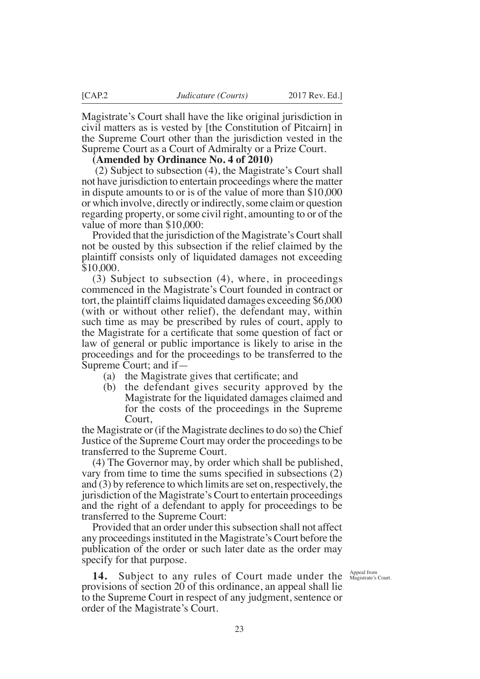Magistrate's Court shall have the like original jurisdiction in civil matters as is vested by [the Constitution of Pitcairn] in the Supreme Court other than the jurisdiction vested in the Supreme Court as a Court of Admiralty or a Prize Court.

**(Amended by Ordinance No. 4 of 2010)**

 (2) Subject to subsection (4), the Magistrate's Court shall not have jurisdiction to entertain proceedings where the matter in dispute amounts to or is of the value of more than \$10,000 or which involve, directly or indirectly, some claim or question regarding property, or some civil right, amounting to or of the value of more than \$10,000:

Provided that the jurisdiction of the Magistrate's Court shall not be ousted by this subsection if the relief claimed by the plaintiff consists only of liquidated damages not exceeding \$10,000.

(3) Subject to subsection (4), where, in proceedings commenced in the Magistrate's Court founded in contract or tort, the plaintiff claims liquidated damages exceeding \$6,000 (with or without other relief), the defendant may, within such time as may be prescribed by rules of court, apply to the Magistrate for a certifcate that some question of fact or law of general or public importance is likely to arise in the proceedings and for the proceedings to be transferred to the Supreme Court; and if—

- (a) the Magistrate gives that certifcate; and
- (b) the defendant gives security approved by the Magistrate for the liquidated damages claimed and for the costs of the proceedings in the Supreme Court,

the Magistrate or (if the Magistrate declines to do so) the Chief Justice of the Supreme Court may order the proceedings to be transferred to the Supreme Court.

(4) The Governor may, by order which shall be published, vary from time to time the sums specifed in subsections (2) and (3) by reference to which limits are set on, respectively, the jurisdiction of the Magistrate's Court to entertain proceedings and the right of a defendant to apply for proceedings to be transferred to the Supreme Court:

Provided that an order under this subsection shall not affect any proceedings instituted in the Magistrate's Court before the publication of the order or such later date as the order may specify for that purpose.

**14.** Subject to any rules of Court made under the provisions of section 20 of this ordinance, an appeal shall lie to the Supreme Court in respect of any judgment, sentence or order of the Magistrate's Court.

Appeal from<br>Magistrate's Court.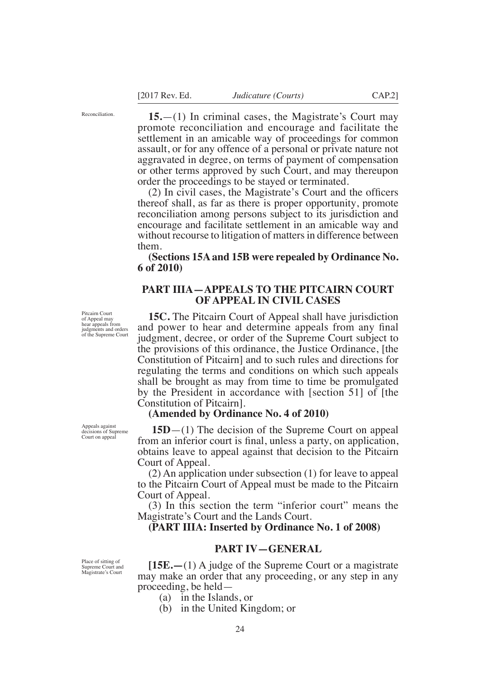Reconciliation.

**15.**—(1) In criminal cases, the Magistrate's Court may promote reconciliation and encourage and facilitate the settlement in an amicable way of proceedings for common assault, or for any offence of a personal or private nature not aggravated in degree, on terms of payment of compensation or other terms approved by such Court, and may thereupon order the proceedings to be stayed or terminated.

(2) In civil cases, the Magistrate's Court and the offcers thereof shall, as far as there is proper opportunity, promote reconciliation among persons subject to its jurisdiction and encourage and facilitate settlement in an amicable way and without recourse to litigation of matters in difference between them.

**(Sections 15A and 15B were repealed by Ordinance No. 6 of 2010)**

## **PART IIIA—APPEALS TO THE PITCAIRN COURT OF APPEAL IN CIVIL CASES**

**15C.** The Pitcairn Court of Appeal shall have jurisdiction and power to hear and determine appeals from any fnal judgment, decree, or order of the Supreme Court subject to the provisions of this ordinance, the Justice Ordinance, [the Constitution of Pitcairn] and to such rules and directions for regulating the terms and conditions on which such appeals shall be brought as may from time to time be promulgated by the President in accordance with [section 51] of [the Constitution of Pitcairn].

#### **(Amended by Ordinance No. 4 of 2010)**

 **15D**—(1) The decision of the Supreme Court on appeal from an inferior court is fnal, unless a party, on application, obtains leave to appeal against that decision to the Pitcairn Court of Appeal.

(2) An application under subsection (1) for leave to appeal to the Pitcairn Court of Appeal must be made to the Pitcairn Court of Appeal.

(3) In this section the term "inferior court" means the Magistrate's Court and the Lands Court.

**(PART IIIA: Inserted by Ordinance No. 1 of 2008)** 

## **PART IV—GENERAL**

**[15E.—**(1) A judge of the Supreme Court or a magistrate may make an order that any proceeding, or any step in any proceeding, be held—

- (a) in the Islands, or
- (b) in the United Kingdom; or

Pitcairn Court of Appeal may hear appeals from judgments and orders of the Supreme Court

Appeals against decisions of Supreme Court on appeal

Place of sitting of Supreme Court and Magistrate's Court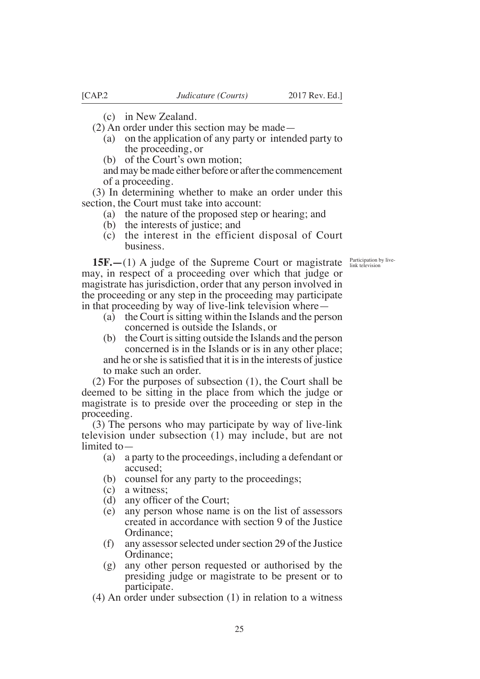(c) in New Zealand.

- (2) An order under this section may be made—
	- (a) on the application of any party or intended party to the proceeding, or
	- (b) of the Court's own motion;

and may be made either before or after the commencement of a proceeding.

(3) In determining whether to make an order under this section, the Court must take into account:

- (a) the nature of the proposed step or hearing; and
- (b) the interests of justice; and
- (c) the interest in the efficient disposal of Court business.

Participation by live-link television

**15F.—**(1) A judge of the Supreme Court or magistrate may, in respect of a proceeding over which that judge or magistrate has jurisdiction, order that any person involved in the proceeding or any step in the proceeding may participate in that proceeding by way of live-link television where—

- (a) the Court is sitting within the Islands and the person concerned is outside the Islands, or
- (b) the Court is sitting outside the Islands and the person concerned is in the Islands or is in any other place; and he or she is satisfied that it is in the interests of justice to make such an order.

(2) For the purposes of subsection (1), the Court shall be deemed to be sitting in the place from which the judge or magistrate is to preside over the proceeding or step in the proceeding.

(3) The persons who may participate by way of live-link television under subsection (1) may include, but are not limited to—

- (a) a party to the proceedings, including a defendant or accused;
- (b) counsel for any party to the proceedings;
- (c) a witness;
- (d) any officer of the Court;
- (e) any person whose name is on the list of assessors created in accordance with section 9 of the Justice Ordinance;
- (f) any assessor selected under section 29 of the Justice Ordinance;
- (g) any other person requested or authorised by the presiding judge or magistrate to be present or to participate.
- (4) An order under subsection (1) in relation to a witness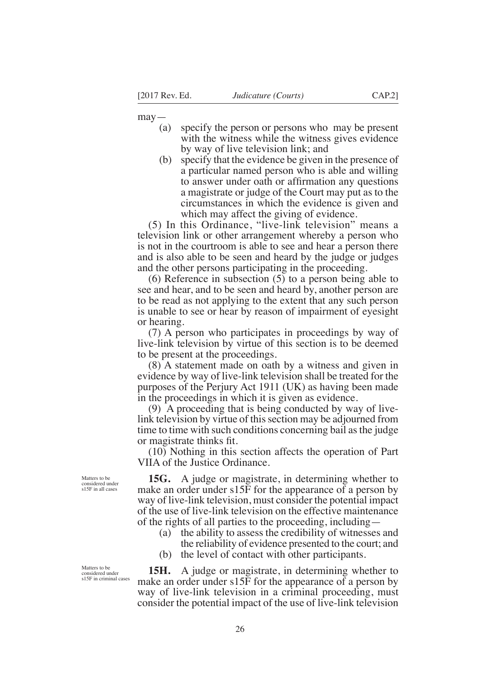$may$ 

- (a) specify the person or persons who may be present with the witness while the witness gives evidence by way of live television link; and
- (b) specify that the evidence be given in the presence of a particular named person who is able and willing to answer under oath or affrmation any questions a magistrate or judge of the Court may put as to the circumstances in which the evidence is given and which may affect the giving of evidence.

(5) In this Ordinance, "live-link television" means a television link or other arrangement whereby a person who is not in the courtroom is able to see and hear a person there and is also able to be seen and heard by the judge or judges and the other persons participating in the proceeding.

(6) Reference in subsection (5) to a person being able to see and hear, and to be seen and heard by, another person are to be read as not applying to the extent that any such person is unable to see or hear by reason of impairment of eyesight or hearing.

(7) A person who participates in proceedings by way of live-link television by virtue of this section is to be deemed to be present at the proceedings.

(8) A statement made on oath by a witness and given in evidence by way of live-link television shall be treated for the purposes of the Perjury Act 1911 (UK) as having been made in the proceedings in which it is given as evidence.

(9) A proceeding that is being conducted by way of livelink television by virtue of this section may be adjourned from time to time with such conditions concerning bail as the judge or magistrate thinks ft.

(10) Nothing in this section affects the operation of Part VIIA of the Justice Ordinance.

**15G.** A judge or magistrate, in determining whether to make an order under s15F for the appearance of a person by way of live-link television, must consider the potential impact of the use of live-link television on the effective maintenance of the rights of all parties to the proceeding, including—

- (a) the ability to assess the credibility of witnesses and the reliability of evidence presented to the court; and
- (b) the level of contact with other participants.

**15H.** A judge or magistrate, in determining whether to make an order under s15F for the appearance of a person by way of live-link television in a criminal proceeding, must consider the potential impact of the use of live-link television

Matters to be considered under s15F in all cases

Matters to be considered under s15F in criminal cases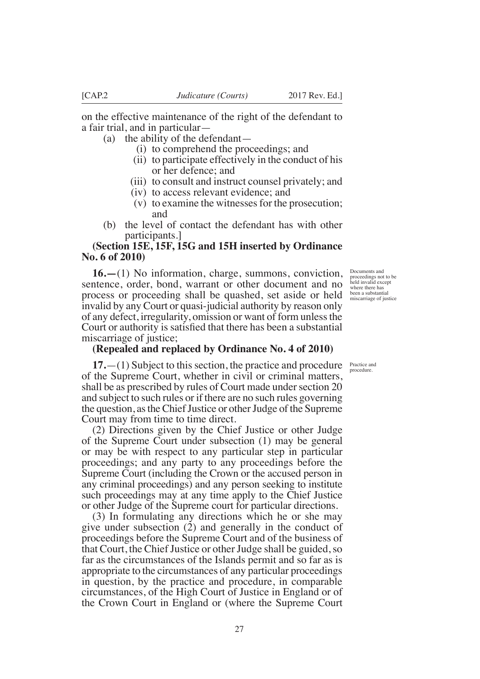on the effective maintenance of the right of the defendant to a fair trial, and in particular—

(a) the ability of the defendant—

- (i) to comprehend the proceedings; and
- (ii) to participate effectively in the conduct of his or her defence; and
- (iii) to consult and instruct counsel privately; and
- (iv) to access relevant evidence; and
- (v) to examine the witnesses for the prosecution; and
- (b) the level of contact the defendant has with other participants.]

# **(Section 15E, 15F, 15G and 15H inserted by Ordinance No. 6 of 2010)**

**16.—**(1) No information, charge, summons, conviction, sentence, order, bond, warrant or other document and no process or proceeding shall be quashed, set aside or held invalid by any Court or quasi-judicial authority by reason only of any defect, irregularity, omission or want of form unless the Court or authority is satisfed that there has been a substantial miscarriage of justice;

# **(Repealed and replaced by Ordinance No. 4 of 2010)**

**17.**—(1) Subject to this section, the practice and procedure Practice and of the Supreme Court, whether in civil or criminal matters, shall be as prescribed by rules of Court made under section 20 and subject to such rules or if there are no such rules governing the question, as the Chief Justice or other Judge of the Supreme Court may from time to time direct.

(2) Directions given by the Chief Justice or other Judge of the Supreme Court under subsection (1) may be general or may be with respect to any particular step in particular proceedings; and any party to any proceedings before the Supreme Court (including the Crown or the accused person in any criminal proceedings) and any person seeking to institute such proceedings may at any time apply to the Chief Justice or other Judge of the Supreme court for particular directions.

(3) In formulating any directions which he or she may give under subsection (2) and generally in the conduct of proceedings before the Supreme Court and of the business of that Court, the Chief Justice or other Judge shall be guided, so far as the circumstances of the Islands permit and so far as is appropriate to the circumstances of any particular proceedings in question, by the practice and procedure, in comparable circumstances, of the High Court of Justice in England or of the Crown Court in England or (where the Supreme Court

Documents and proceedings not to be held invalid except where there has been a substantial miscarriage of justice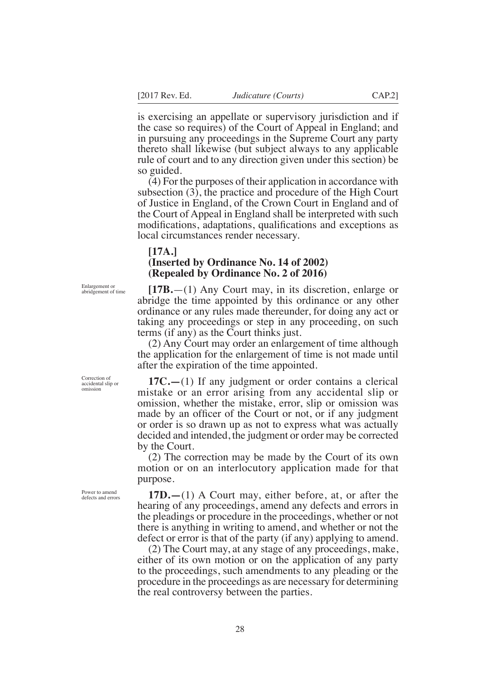is exercising an appellate or supervisory jurisdiction and if the case so requires) of the Court of Appeal in England; and in pursuing any proceedings in the Supreme Court any party thereto shall likewise (but subject always to any applicable rule of court and to any direction given under this section) be so guided.

(4) For the purposes of their application in accordance with subsection (3), the practice and procedure of the High Court of Justice in England, of the Crown Court in England and of the Court of Appeal in England shall be interpreted with such modifcations, adaptations, qualifcations and exceptions as local circumstances render necessary.

#### **[17A.]**

# **(Inserted by Ordinance No. 14 of 2002) (Repealed by Ordinance No. 2 of 2016)**

**[17B.**—(1) Any Court may, in its discretion, enlarge or abridge the time appointed by this ordinance or any other ordinance or any rules made thereunder, for doing any act or taking any proceedings or step in any proceeding, on such terms (if any) as the Court thinks just.

(2) Any Court may order an enlargement of time although the application for the enlargement of time is not made until after the expiration of the time appointed.

**17C.—**(1) If any judgment or order contains a clerical mistake or an error arising from any accidental slip or omission, whether the mistake, error, slip or omission was made by an officer of the Court or not, or if any judgment or order is so drawn up as not to express what was actually decided and intended, the judgment or order may be corrected by the Court.

(2) The correction may be made by the Court of its own motion or on an interlocutory application made for that purpose.

**17D.—**(1) A Court may, either before, at, or after the hearing of any proceedings, amend any defects and errors in the pleadings or procedure in the proceedings, whether or not there is anything in writing to amend, and whether or not the defect or error is that of the party (if any) applying to amend.

(2) The Court may, at any stage of any proceedings, make, either of its own motion or on the application of any party to the proceedings, such amendments to any pleading or the procedure in the proceedings as are necessary for determining the real controversy between the parties.

Enlargement or abridgement of time

Correction of accidental slip or omission

Power to amend defects and errors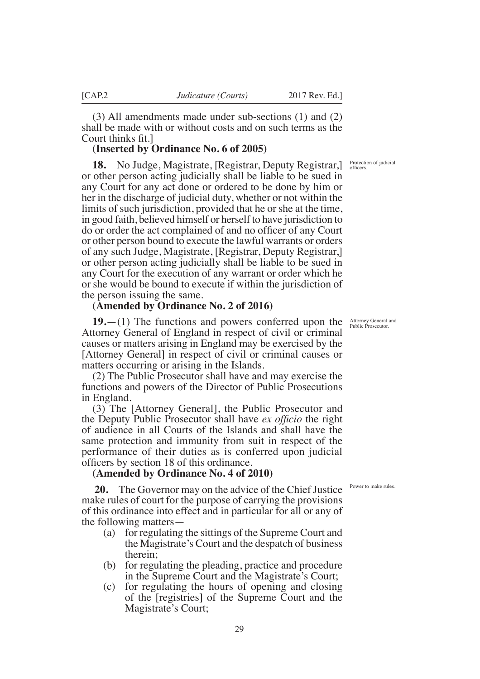(3) All amendments made under sub-sections (1) and (2) shall be made with or without costs and on such terms as the Court thinks fit.

## **(Inserted by Ordinance No. 6 of 2005)**

**18.** No Judge, Magistrate, [Registrar, Deputy Registrar,] or other person acting judicially shall be liable to be sued in any Court for any act done or ordered to be done by him or her in the discharge of judicial duty, whether or not within the limits of such jurisdiction, provided that he or she at the time, in good faith, believed himself or herself to have jurisdiction to do or order the act complained of and no offcer of any Court or other person bound to execute the lawful warrants or orders of any such Judge, Magistrate, [Registrar, Deputy Registrar,] or other person acting judicially shall be liable to be sued in any Court for the execution of any warrant or order which he or she would be bound to execute if within the jurisdiction of the person issuing the same.

## **(Amended by Ordinance No. 2 of 2016)**

**19.**—(1) The functions and powers conferred upon the Attorney General of England in respect of civil or criminal causes or matters arising in England may be exercised by the [Attorney General] in respect of civil or criminal causes or matters occurring or arising in the Islands.

(2) The Public Prosecutor shall have and may exercise the functions and powers of the Director of Public Prosecutions in England.

(3) The [Attorney General], the Public Prosecutor and the Deputy Public Prosecutor shall have *ex offcio* the right of audience in all Courts of the Islands and shall have the same protection and immunity from suit in respect of the performance of their duties as is conferred upon judicial officers by section 18 of this ordinance.

## **(Amended by Ordinance No. 4 of 2010)**

 **20.** The Governor may on the advice of the Chief Justice make rules of court for the purpose of carrying the provisions of this ordinance into effect and in particular for all or any of the following matters—

- (a) for regulating the sittings of the Supreme Court and the Magistrate's Court and the despatch of business therein;
- (b) for regulating the pleading, practice and procedure in the Supreme Court and the Magistrate's Court;
- (c) for regulating the hours of opening and closing of the [registries] of the Supreme Court and the Magistrate's Court;

Protection of judicial<br>officers.

Attorney General and Public Prosecutor.

Power to make rules.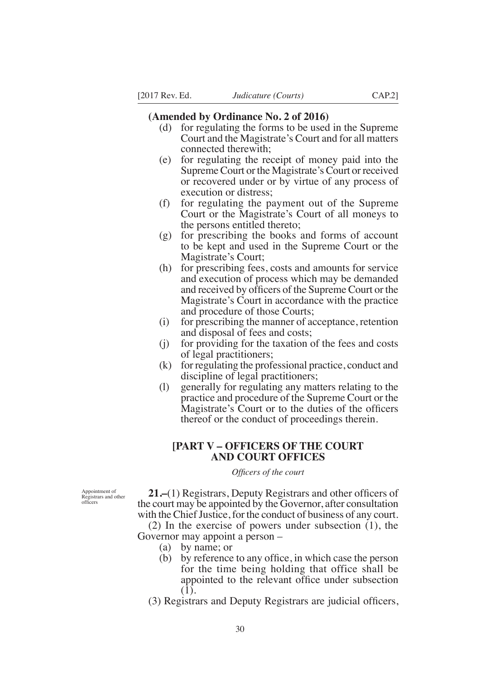#### **(Amended by Ordinance No. 2 of 2016)**

- (d) for regulating the forms to be used in the Supreme Court and the Magistrate's Court and for all matters connected therewith;
- (e) for regulating the receipt of money paid into the Supreme Court or the Magistrate's Court or received or recovered under or by virtue of any process of execution or distress;
- (f) for regulating the payment out of the Supreme Court or the Magistrate's Court of all moneys to the persons entitled thereto;
- (g) for prescribing the books and forms of account to be kept and used in the Supreme Court or the Magistrate's Court;
- (h) for prescribing fees, costs and amounts for service and execution of process which may be demanded and received by offcers of the Supreme Court or the Magistrate's Court in accordance with the practice and procedure of those Courts;
- (i) for prescribing the manner of acceptance, retention and disposal of fees and costs;
- (j) for providing for the taxation of the fees and costs of legal practitioners;
- (k) for regulating the professional practice, conduct and discipline of legal practitioners;
- (l) generally for regulating any matters relating to the practice and procedure of the Supreme Court or the Magistrate's Court or to the duties of the officers thereof or the conduct of proceedings therein.

# **[PART V – OFFICERS OF THE COURT AND COURT OFFICES**

#### *Offcers of the court*

Appointment of Registrars and other offcers

**21.–**(1) Registrars, Deputy Registrars and other offcers of the court may be appointed by the Governor, after consultation with the Chief Justice, for the conduct of business of any court.

(2) In the exercise of powers under subsection (1), the Governor may appoint a person –

- (a) by name; or
- (b) by reference to any offce, in which case the person for the time being holding that office shall be appointed to the relevant offce under subsection (1).
- (3) Registrars and Deputy Registrars are judicial offcers,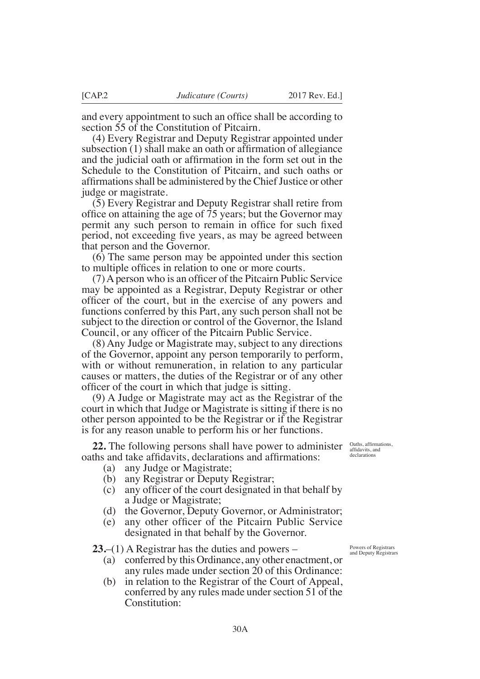and every appointment to such an offce shall be according to section 55 of the Constitution of Pitcairn.

(4) Every Registrar and Deputy Registrar appointed under subsection (1) shall make an oath or affrmation of allegiance and the judicial oath or affrmation in the form set out in the Schedule to the Constitution of Pitcairn, and such oaths or affirmations shall be administered by the Chief Justice or other judge or magistrate.

(5) Every Registrar and Deputy Registrar shall retire from office on attaining the age of 75 years; but the Governor may permit any such person to remain in office for such fixed period, not exceeding fve years, as may be agreed between that person and the Governor.

(6) The same person may be appointed under this section to multiple offces in relation to one or more courts.

(7)Aperson who is an offcer of the Pitcairn Public Service may be appointed as a Registrar, Deputy Registrar or other offcer of the court, but in the exercise of any powers and functions conferred by this Part, any such person shall not be subject to the direction or control of the Governor, the Island Council, or any officer of the Pitcairn Public Service.

(8) Any Judge or Magistrate may, subject to any directions of the Governor, appoint any person temporarily to perform, with or without remuneration, in relation to any particular causes or matters, the duties of the Registrar or of any other offcer of the court in which that judge is sitting.

(9) A Judge or Magistrate may act as the Registrar of the court in which that Judge or Magistrate is sitting if there is no other person appointed to be the Registrar or if the Registrar is for any reason unable to perform his or her functions.

**22.** The following persons shall have power to administer oaths and take affdavits, declarations and affrmations:

- (a) any Judge or Magistrate;
- (b) any Registrar or Deputy Registrar;
- (c) any offcer of the court designated in that behalf by a Judge or Magistrate;
- (d) the Governor, Deputy Governor, or Administrator;
- (e) any other offcer of the Pitcairn Public Service designated in that behalf by the Governor.

**23.**–(1) A Registrar has the duties and powers –

- (a) conferred by this Ordinance, any other enactment, or any rules made under section 20 of this Ordinance:
- (b) in relation to the Registrar of the Court of Appeal, conferred by any rules made under section 51 of the Constitution:

Powers of Registrars and Deputy Registrars

Oaths, affrmations, affdavits, and declarations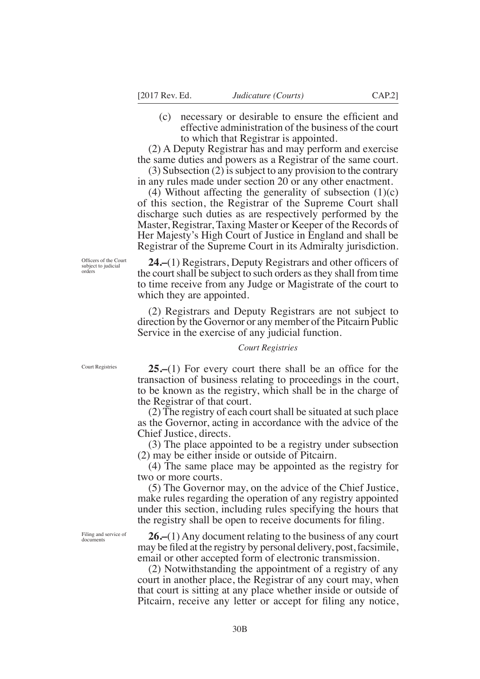- 
- (c) necessary or desirable to ensure the effcient and effective administration of the business of the court to which that Registrar is appointed.

(2) A Deputy Registrar has and may perform and exercise the same duties and powers as a Registrar of the same court.

(3) Subsection (2) is subject to any provision to the contrary in any rules made under section 20 or any other enactment.

(4) Without affecting the generality of subsection  $(1)(c)$ of this section, the Registrar of the Supreme Court shall discharge such duties as are respectively performed by the Master, Registrar, Taxing Master or Keeper of the Records of Her Majesty's High Court of Justice in England and shall be Registrar of the Supreme Court in its Admiralty jurisdiction.

Officers of the Court subject to judicial orders

24.–(1) Registrars, Deputy Registrars and other officers of the court shall be subject to such orders as they shall from time to time receive from any Judge or Magistrate of the court to which they are appointed.

(2) Registrars and Deputy Registrars are not subject to direction by the Governor or any member of the Pitcairn Public Service in the exercise of any judicial function.

#### *Court Registries*

Court Registries

**25.–(1)** For every court there shall be an office for the transaction of business relating to proceedings in the court, to be known as the registry, which shall be in the charge of the Registrar of that court.

(2) The registry of each court shall be situated at such place as the Governor, acting in accordance with the advice of the Chief Justice, directs.

(3) The place appointed to be a registry under subsection (2) may be either inside or outside of Pitcairn.

(4) The same place may be appointed as the registry for two or more courts.

(5) The Governor may, on the advice of the Chief Justice, make rules regarding the operation of any registry appointed under this section, including rules specifying the hours that the registry shall be open to receive documents for fling.

Filing and service of documents

**26.–**(1) Any document relating to the business of any court may be fled at the registry by personal delivery, post,facsimile, email or other accepted form of electronic transmission.

(2) Notwithstanding the appointment of a registry of any court in another place, the Registrar of any court may, when that court is sitting at any place whether inside or outside of Pitcairn, receive any letter or accept for fling any notice,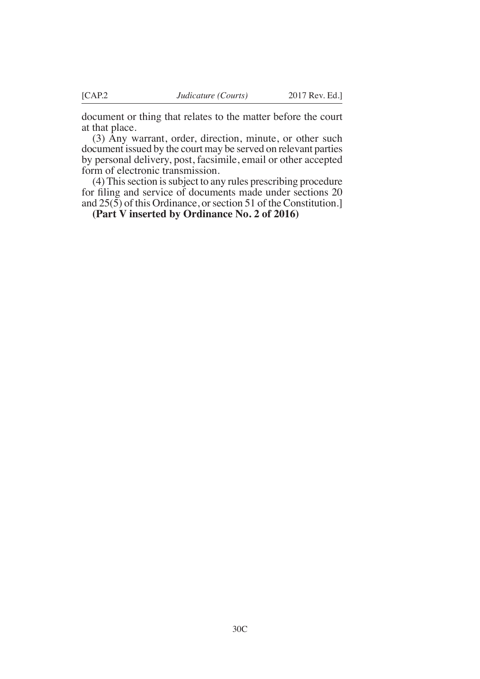document or thing that relates to the matter before the court at that place.

(3) Any warrant, order, direction, minute, or other such document issued by the court may be served on relevant parties by personal delivery, post, facsimile, email or other accepted form of electronic transmission.

(4) This section is subject to any rules prescribing procedure for fling and service of documents made under sections 20 and 25(5) of this Ordinance, or section 51 of the Constitution.]

**(Part V inserted by Ordinance No. 2 of 2016)**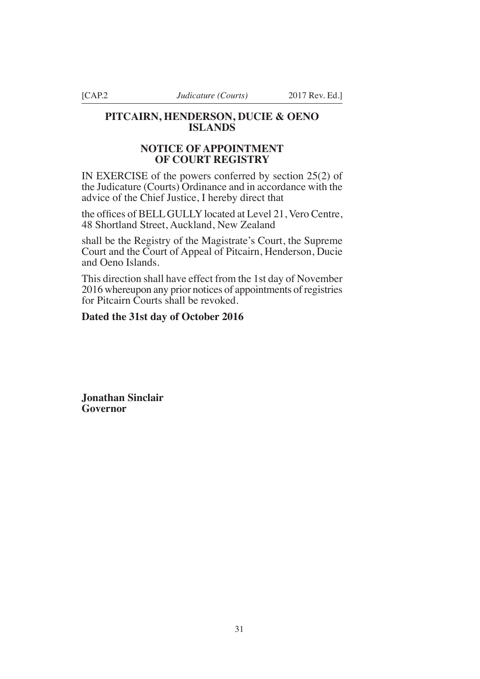# **PITCAIRN, HENDERSON, DUCIE & OENO ISLANDS**

# **NOTICE OF APPOINTMENT OF COURT REGISTRY**

IN EXERCISE of the powers conferred by section 25(2) of the Judicature (Courts) Ordinance and in accordance with the advice of the Chief Justice, I hereby direct that

the offices of BELL GULLY located at Level 21, Vero Centre, 48 Shortland Street, Auckland, New Zealand

shall be the Registry of the Magistrate's Court, the Supreme Court and the Court of Appeal of Pitcairn, Henderson, Ducie and Oeno Islands.

This direction shall have effect from the 1st day of November 2016 whereupon any prior notices of appointments of registries for Pitcairn Courts shall be revoked.

# **Dated the 31st day of October 2016**

**Jonathan Sinclair Governor**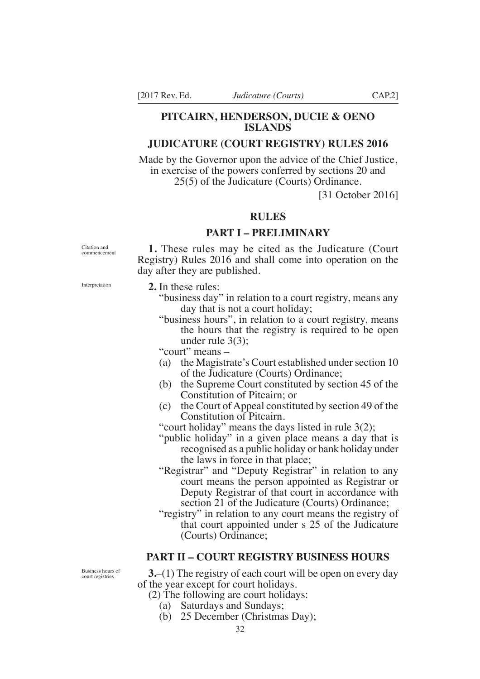# **PITCAIRN, HENDERSON, DUCIE & OENO ISLANDS**

# **JUDICATURE (COURT REGISTRY) RULES 2016**

Made by the Governor upon the advice of the Chief Justice, in exercise of the powers conferred by sections 20 and 25(5) of the Judicature (Courts) Ordinance.

[31 October 2016]

# **RULES**

### **PART I – PRELIMINARY**

Citation and commencement

**1.** These rules may be cited as the Judicature (Court Registry) Rules 2016 and shall come into operation on the day after they are published.

**2.** In these rules:

- "business day" in relation to a court registry, means any day that is not a court holiday;
- "business hours", in relation to a court registry, means the hours that the registry is required to be open under rule 3(3);

"court" means –

- (a) the Magistrate's Court established under section 10 of the Judicature (Courts) Ordinance;
- (b) the Supreme Court constituted by section 45 of the Constitution of Pitcairn; or
- (c) the Court of Appeal constituted by section 49 of the Constitution of Pitcairn.

"court holiday" means the days listed in rule 3(2);

- "public holiday" in a given place means a day that is recognised as a public holiday or bank holiday under the laws in force in that place;
- "Registrar" and "Deputy Registrar" in relation to any court means the person appointed as Registrar or Deputy Registrar of that court in accordance with section 21 of the Judicature (Courts) Ordinance;
- "registry" in relation to any court means the registry of that court appointed under s 25 of the Judicature (Courts) Ordinance;

# **PART II – COURT REGISTRY BUSINESS HOURS**

**3.**–(1) The registry of each court will be open on every day of the year except for court holidays.

- (2) The following are court holidays:
	- (a) Saturdays and Sundays;
	- (b) 25 December (Christmas Day);

Business hours of court registries

Interpretation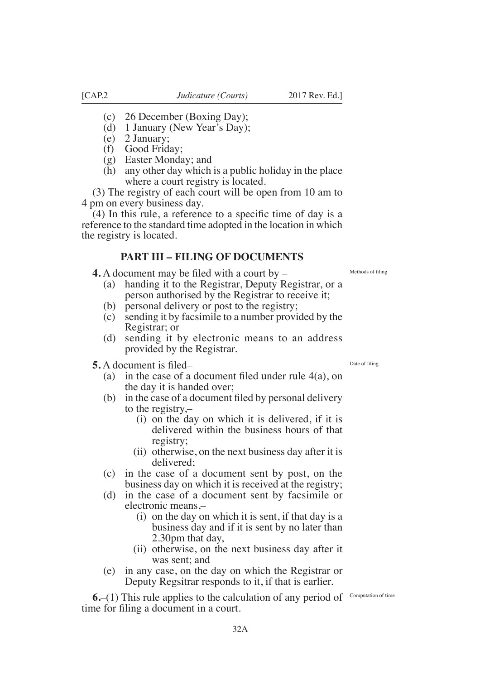(3) The registry of each court will be open from 10 am to 4 pm on every business day.

(4) In this rule, a reference to a specifc time of day is a reference to the standard time adopted in the location in which the registry is located.

# **PART III – FILING OF DOCUMENTS**

**4.** A document may be filed with a court by  $-$ 

(c) 26 December (Boxing Day); (d) 1 January (New Year's Day);

(g) Easter Monday; and

(e) 2 January; (f) Good Friday;

- (a) handing it to the Registrar, Deputy Registrar, or a person authorised by the Registrar to receive it;
- (b) personal delivery or post to the registry;
- (c) sending it by facsimile to a number provided by the Registrar; or
- (d) sending it by electronic means to an address provided by the Registrar.
- **5.** A document is filed-
	- (a) in the case of a document filed under rule  $4(a)$ , on the day it is handed over;
	- (b) in the case of a document fled by personal delivery to the registry,–
		- (i) on the day on which it is delivered, if it is delivered within the business hours of that registry;
		- (ii) otherwise, on the next business day after it is delivered;
	- (c) in the case of a document sent by post, on the business day on which it is received at the registry;
	- (d) in the case of a document sent by facsimile or electronic means,–
		- (i) on the day on which it is sent, if that day is a business day and if it is sent by no later than 2.30pm that day,
		- (ii) otherwise, on the next business day after it was sent; and
	- (e) in any case, on the day on which the Registrar or Deputy Regsitrar responds to it, if that is earlier.

**6.**–(1) This rule applies to the calculation of any period of Computation of time time for fling a document in a court.

Date of fling

Methods of fling